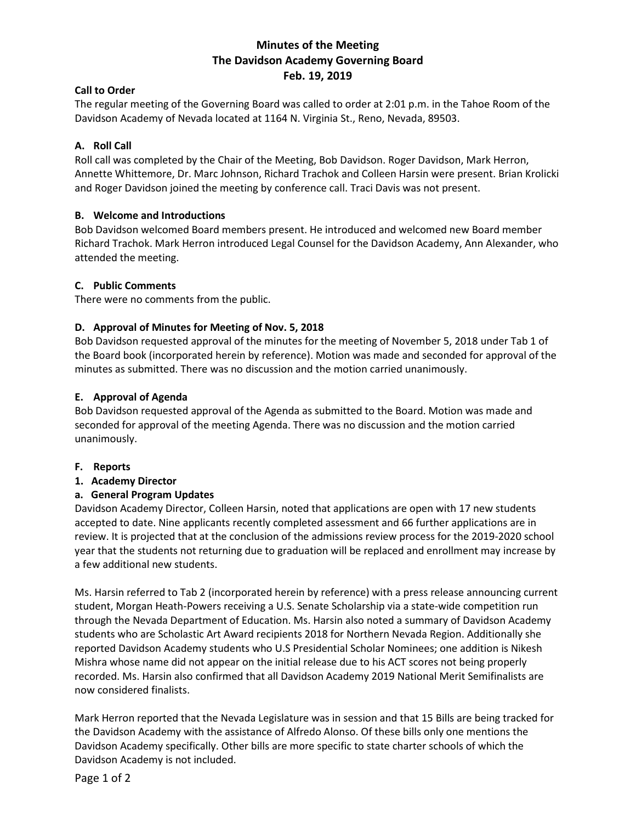# **Minutes of the Meeting The Davidson Academy Governing Board Feb. 19, 2019**

### **Call to Order**

The regular meeting of the Governing Board was called to order at 2:01 p.m. in the Tahoe Room of the Davidson Academy of Nevada located at 1164 N. Virginia St., Reno, Nevada, 89503.

## **A. Roll Call**

Roll call was completed by the Chair of the Meeting, Bob Davidson. Roger Davidson, Mark Herron, Annette Whittemore, Dr. Marc Johnson, Richard Trachok and Colleen Harsin were present. Brian Krolicki and Roger Davidson joined the meeting by conference call. Traci Davis was not present.

#### **B. Welcome and Introductions**

Bob Davidson welcomed Board members present. He introduced and welcomed new Board member Richard Trachok. Mark Herron introduced Legal Counsel for the Davidson Academy, Ann Alexander, who attended the meeting.

## **C. Public Comments**

There were no comments from the public.

## **D. Approval of Minutes for Meeting of Nov. 5, 2018**

Bob Davidson requested approval of the minutes for the meeting of November 5, 2018 under Tab 1 of the Board book (incorporated herein by reference). Motion was made and seconded for approval of the minutes as submitted. There was no discussion and the motion carried unanimously.

## **E. Approval of Agenda**

Bob Davidson requested approval of the Agenda as submitted to the Board. Motion was made and seconded for approval of the meeting Agenda. There was no discussion and the motion carried unanimously.

#### **F. Reports**

#### **1. Academy Director**

#### **a. General Program Updates**

Davidson Academy Director, Colleen Harsin, noted that applications are open with 17 new students accepted to date. Nine applicants recently completed assessment and 66 further applications are in review. It is projected that at the conclusion of the admissions review process for the 2019-2020 school year that the students not returning due to graduation will be replaced and enrollment may increase by a few additional new students.

Ms. Harsin referred to Tab 2 (incorporated herein by reference) with a press release announcing current student, Morgan Heath-Powers receiving a U.S. Senate Scholarship via a state-wide competition run through the Nevada Department of Education. Ms. Harsin also noted a summary of Davidson Academy students who are Scholastic Art Award recipients 2018 for Northern Nevada Region. Additionally she reported Davidson Academy students who U.S Presidential Scholar Nominees; one addition is Nikesh Mishra whose name did not appear on the initial release due to his ACT scores not being properly recorded. Ms. Harsin also confirmed that all Davidson Academy 2019 National Merit Semifinalists are now considered finalists.

Mark Herron reported that the Nevada Legislature was in session and that 15 Bills are being tracked for the Davidson Academy with the assistance of Alfredo Alonso. Of these bills only one mentions the Davidson Academy specifically. Other bills are more specific to state charter schools of which the Davidson Academy is not included.